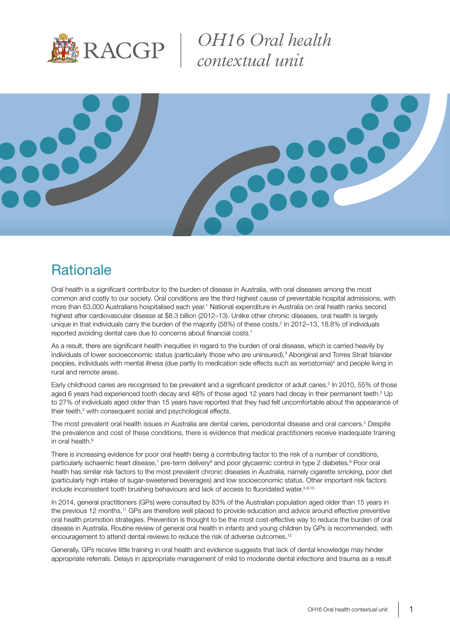

*OH16 Oral health contextual unit*



# **Rationale**

Oral health is a significant contributor to the burden of disease in Australia, with oral diseases among the most common and costly to our society. Oral conditions are the third highest cause of preventable hospital admissions, with more than 63,000 Australians hospitalised each year.<sup>1</sup> National expenditure in Australia on oral health ranks second highest after cardiovascular disease at \$8.3 billion (2012–13). Unlike other chronic diseases, oral health is largely unique in that individuals carry the burden of the majority (58%) of these costs.<sup>2</sup> In 2012–13, 18.8% of individuals reported avoiding dental care due to concerns about financial costs.<sup>1</sup>

As a result, there are significant health inequities in regard to the burden of oral disease, which is carried heavily by individuals of lower socioeconomic status (particularly those who are uninsured),<sup>3</sup> Aboriginal and Torres Strait Islander peoples, individuals with mental illness (due partly to medication side effects such as xerostomia)<sup>4</sup> and people living in rural and remote areas.

Early childhood caries are recognised to be prevalent and a significant predictor of adult caries.<sup>5</sup> In 2010, 55% of those aged 6 years had experienced tooth decay and 48% of those aged 12 years had decay in their permanent teeth.<sup>2</sup> Up to 27% of individuals aged older than 15 years have reported that they had felt uncomfortable about the appearance of their teeth,<sup>2</sup> with consequent social and psychological effects.

The most prevalent oral health issues in Australia are dental caries, periodontal disease and oral cancers.<sup>2</sup> Despite the prevalence and cost of these conditions, there is evidence that medical practitioners receive inadequate training in oral health.<sup>6</sup>

There is increasing evidence for poor oral health being a contributing factor to the risk of a number of conditions, particularly ischaemic heart disease,<sup>7</sup> pre-term delivery<sup>8</sup> and poor glycaemic control in type 2 diabetes.<sup>9</sup> Poor oral health has similar risk factors to the most prevalent chronic diseases in Australia, namely cigarette smoking, poor diet (particularly high intake of sugar-sweetened beverages) and low socioeconomic status. Other important risk factors include inconsistent tooth brushing behaviours and lack of access to fluoridated water.<sup>5,9,10</sup>

In 2014, general practitioners (GPs) were consulted by 83% of the Australian population aged older than 15 years in the previous 12 months.<sup>11</sup> GPs are therefore well placed to provide education and advice around effective preventive oral health promotion strategies. Prevention is thought to be the most cost-effective way to reduce the burden of oral disease in Australia. Routine review of general oral health in infants and young children by GPs is recommended, with encouragement to attend dental reviews to reduce the risk of adverse outcomes.<sup>12</sup>

Generally, GPs receive little training in oral health and evidence suggests that lack of dental knowledge may hinder appropriate referrals. Delays in appropriate management of mild to moderate dental infections and trauma as a result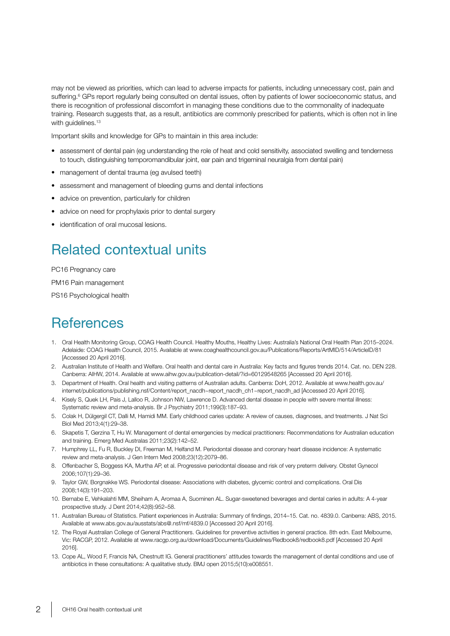may not be viewed as priorities, which can lead to adverse impacts for patients, including unnecessary cost, pain and suffering.<sup>6</sup> GPs report regularly being consulted on dental issues, often by patients of lower socioeconomic status, and there is recognition of professional discomfort in managing these conditions due to the commonality of inadequate training. Research suggests that, as a result, antibiotics are commonly prescribed for patients, which is often not in line with quidelines.<sup>13</sup>

Important skills and knowledge for GPs to maintain in this area include:

- assessment of dental pain (eg understanding the role of heat and cold sensitivity, associated swelling and tenderness to touch, distinguishing temporomandibular joint, ear pain and trigeminal neuralgia from dental pain)
- management of dental trauma (eg avulsed teeth)
- assessment and management of bleeding gums and dental infections
- advice on prevention, particularly for children
- advice on need for prophylaxis prior to dental surgery
- identification of oral mucosal lesions.

# Related contextual units

PC16 Pregnancy care

PM16 Pain management

PS16 Psychological health

#### **References**

- 1. Oral Health Monitoring Group, COAG Health Council. Healthy Mouths, Healthy Lives: Australia's National Oral Health Plan 2015–2024. Adelaide: COAG Health Council, 2015. Available at www.coaghealthcouncil.gov.au/Publications/Reports/ArtMID/514/ArticleID/81 [Accessed 20 April 2016].
- 2. Australian Institute of Health and Welfare. Oral health and dental care in Australia: Key facts and figures trends 2014. Cat. no. DEN 228. Canberra: AIHW, 2014. Available at www.aihw.gov.au/publication-detail/?id=60129548265 [Accessed 20 April 2016].
- 3. Department of Health. Oral health and visiting patterns of Australian adults. Canberra: DoH, 2012. Available at www.health.gov.au/ internet/publications/publishing.nsf/Content/report\_nacdh~report\_nacdh\_ch1~report\_nacdh\_ad [Accessed 20 April 2016].
- 4. Kisely S, Quek LH, Pais J, Lalloo R, Johnson NW, Lawrence D. Advanced dental disease in people with severe mental illness: Systematic review and meta-analysis. Br J Psychiatry 2011;199(3):187–93.
- 5. Colak H, Dülgergil CT, Dalli M, Hamidi MM. Early childhood caries update: A review of causes, diagnoses, and treatments. J Nat Sci Biol Med 2013;4(1):29–38.
- 6. Skapetis T, Gerzina T, Hu W. Management of dental emergencies by medical practitioners: Recommendations for Australian education and training. Emerg Med Australas 2011;23(2):142–52.
- 7. Humphrey LL, Fu R, Buckley DI, Freeman M, Helfand M. Periodontal disease and coronary heart disease incidence: A systematic review and meta-analysis. J Gen Intern Med 2008;23(12):2079–86.
- 8. Offenbacher S, Boggess KA, Murtha AP, et al. Progressive periodontal disease and risk of very preterm delivery. Obstet Gynecol 2006;107(1):29–36.
- 9. Taylor GW, Borgnakke WS. Periodontal disease: Associations with diabetes, glycemic control and complications. Oral Dis 2008;14(3):191–203.
- 10. Bernabe E, Vehkalahti MM, Sheiham A, Aromaa A, Suominen AL. Sugar-sweetened beverages and dental caries in adults: A 4-year prospective study. J Dent 2014;42(8):952–58.
- 11. Australian Bureau of Statistics. Patient experiences in Australia: Summary of findings, 2014–15. Cat. no. 4839.0. Canberra: ABS, 2015. Available at www.abs.gov.au/ausstats/abs@.nsf/mf/4839.0 [Accessed 20 April 2016].
- 12. The Royal Australian College of General Practitioners. Guidelines for preventive activities in general practice. 8th edn. East Melbourne, Vic: RACGP, 2012. Available at www.racgp.org.au/download/Documents/Guidelines/Redbook8/redbook8.pdf [Accessed 20 April 2016].
- 13. Cope AL, Wood F, Francis NA, Chestnutt IG. General practitioners' attitudes towards the management of dental conditions and use of antibiotics in these consultations: A qualitative study. BMJ open 2015;5(10):e008551.